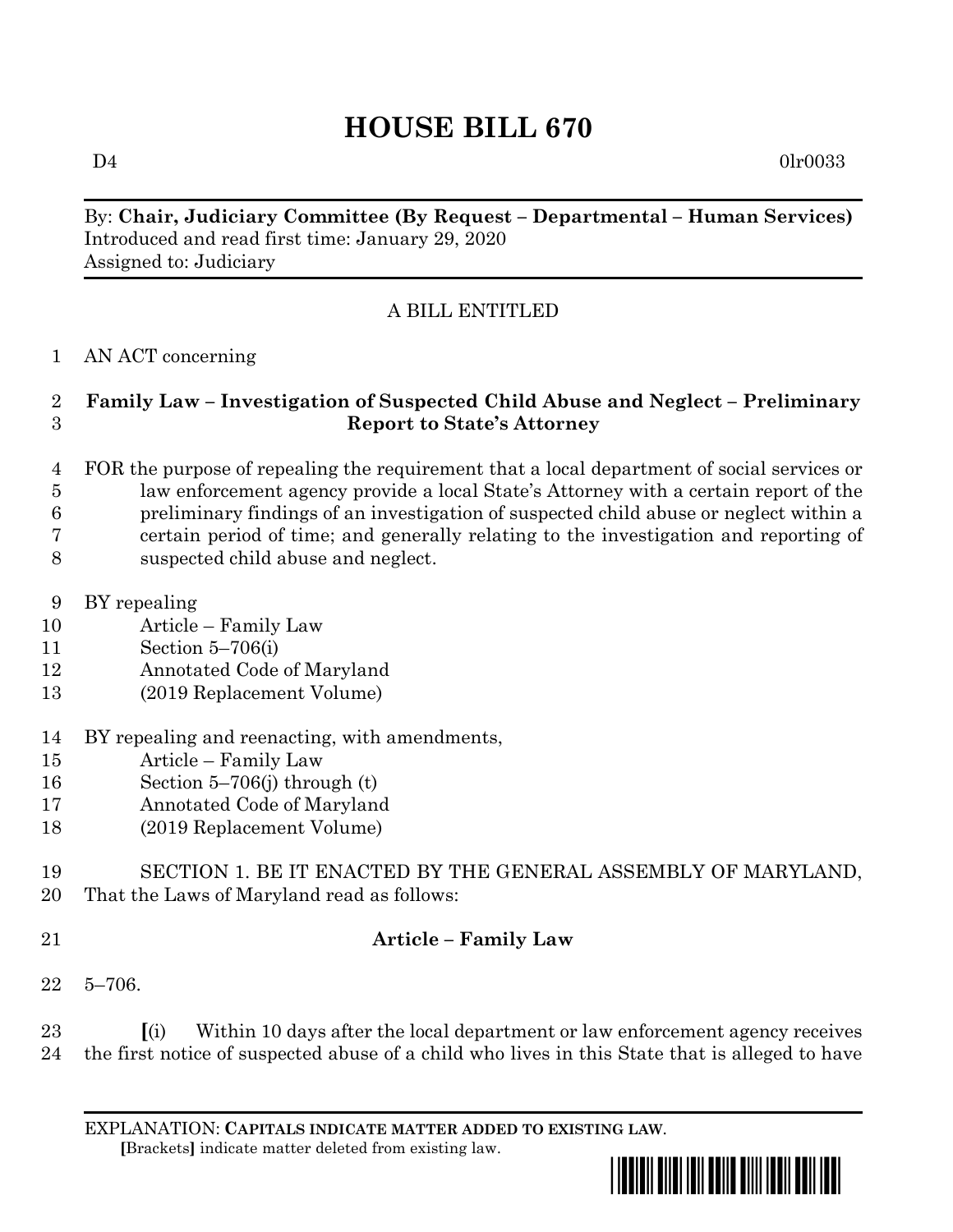# **HOUSE BILL 670**

 $D4$  0lr0033

By: **Chair, Judiciary Committee (By Request – Departmental – Human Services)** Introduced and read first time: January 29, 2020 Assigned to: Judiciary

# A BILL ENTITLED

### AN ACT concerning

### **Family Law – Investigation of Suspected Child Abuse and Neglect – Preliminary Report to State's Attorney**

- FOR the purpose of repealing the requirement that a local department of social services or law enforcement agency provide a local State's Attorney with a certain report of the preliminary findings of an investigation of suspected child abuse or neglect within a certain period of time; and generally relating to the investigation and reporting of suspected child abuse and neglect.
- BY repealing
- Article Family Law
- Section 5–706(i)
- Annotated Code of Maryland
- (2019 Replacement Volume)
- BY repealing and reenacting, with amendments,
- Article Family Law
- Section 5–706(j) through (t)
- Annotated Code of Maryland
- (2019 Replacement Volume)
- SECTION 1. BE IT ENACTED BY THE GENERAL ASSEMBLY OF MARYLAND, That the Laws of Maryland read as follows:
- 

# **Article – Family Law**

5–706.

 **[**(i) Within 10 days after the local department or law enforcement agency receives the first notice of suspected abuse of a child who lives in this State that is alleged to have

EXPLANATION: **CAPITALS INDICATE MATTER ADDED TO EXISTING LAW**.  **[**Brackets**]** indicate matter deleted from existing law.

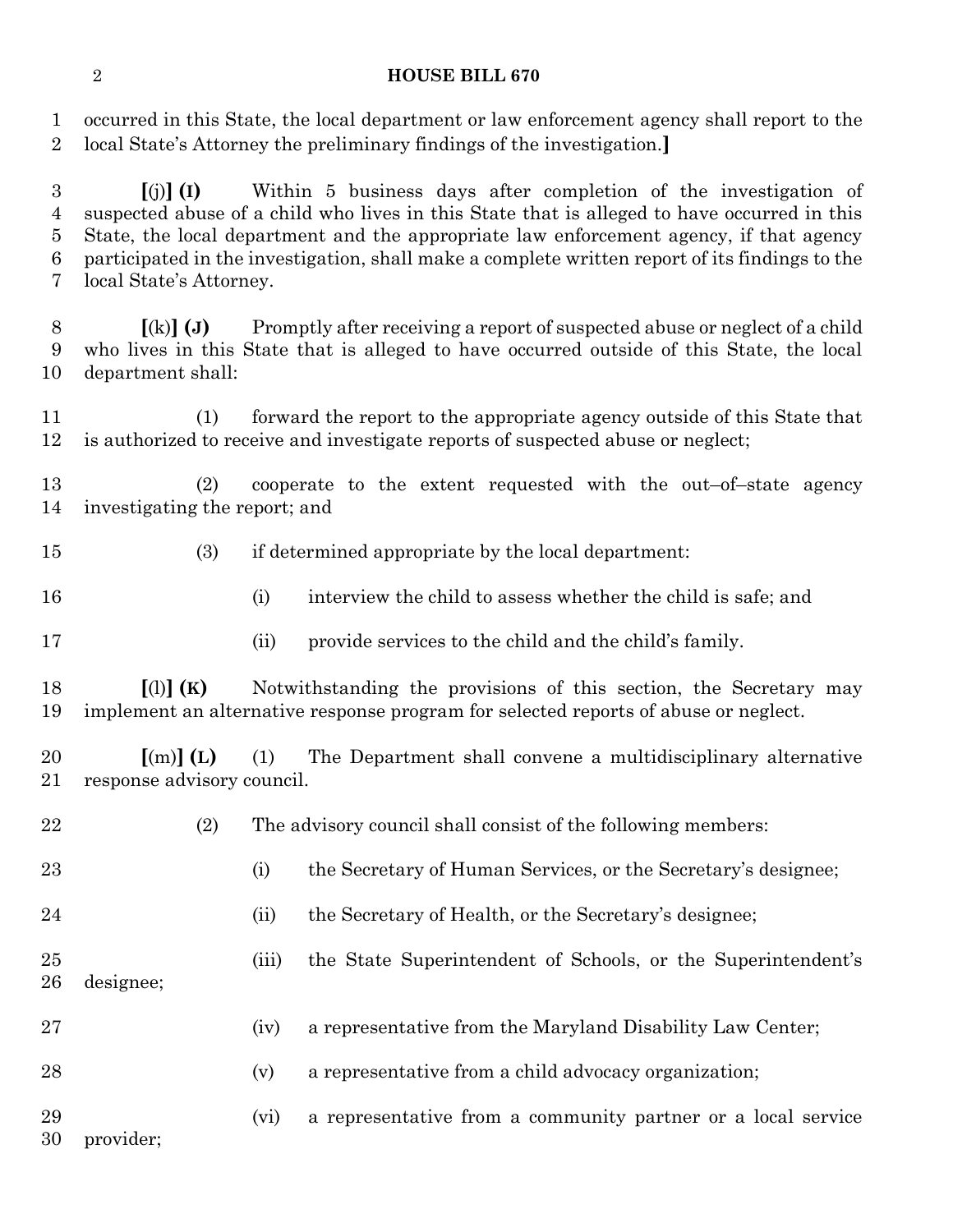### **HOUSE BILL 670**

 occurred in this State, the local department or law enforcement agency shall report to the local State's Attorney the preliminary findings of the investigation.**]**

 **[**(j)**] (I)** Within 5 business days after completion of the investigation of suspected abuse of a child who lives in this State that is alleged to have occurred in this State, the local department and the appropriate law enforcement agency, if that agency participated in the investigation, shall make a complete written report of its findings to the local State's Attorney.

 **[**(k)**] (J)** Promptly after receiving a report of suspected abuse or neglect of a child who lives in this State that is alleged to have occurred outside of this State, the local department shall:

 (1) forward the report to the appropriate agency outside of this State that is authorized to receive and investigate reports of suspected abuse or neglect;

 (2) cooperate to the extent requested with the out–of–state agency investigating the report; and

- (3) if determined appropriate by the local department:
- (i) interview the child to assess whether the child is safe; and
- 
- (ii) provide services to the child and the child's family.

 **[**(l)**] (K)** Notwithstanding the provisions of this section, the Secretary may implement an alternative response program for selected reports of abuse or neglect.

 **[**(m)**] (L)** (1) The Department shall convene a multidisciplinary alternative response advisory council.

| 22       |           | (2) |       | The advisory council shall consist of the following members:  |
|----------|-----------|-----|-------|---------------------------------------------------------------|
| 23       |           |     | (i)   | the Secretary of Human Services, or the Secretary's designee; |
| 24       |           |     | (i)   | the Secretary of Health, or the Secretary's designee;         |
| 25<br>26 | designee; |     | (iii) | the State Superintendent of Schools, or the Superintendent's  |
| 27       |           |     | (iv)  | a representative from the Maryland Disability Law Center;     |
| 28       |           |     | (v)   | a representative from a child advocacy organization;          |
| 29<br>30 | provider; |     | (vi)  | a representative from a community partner or a local service  |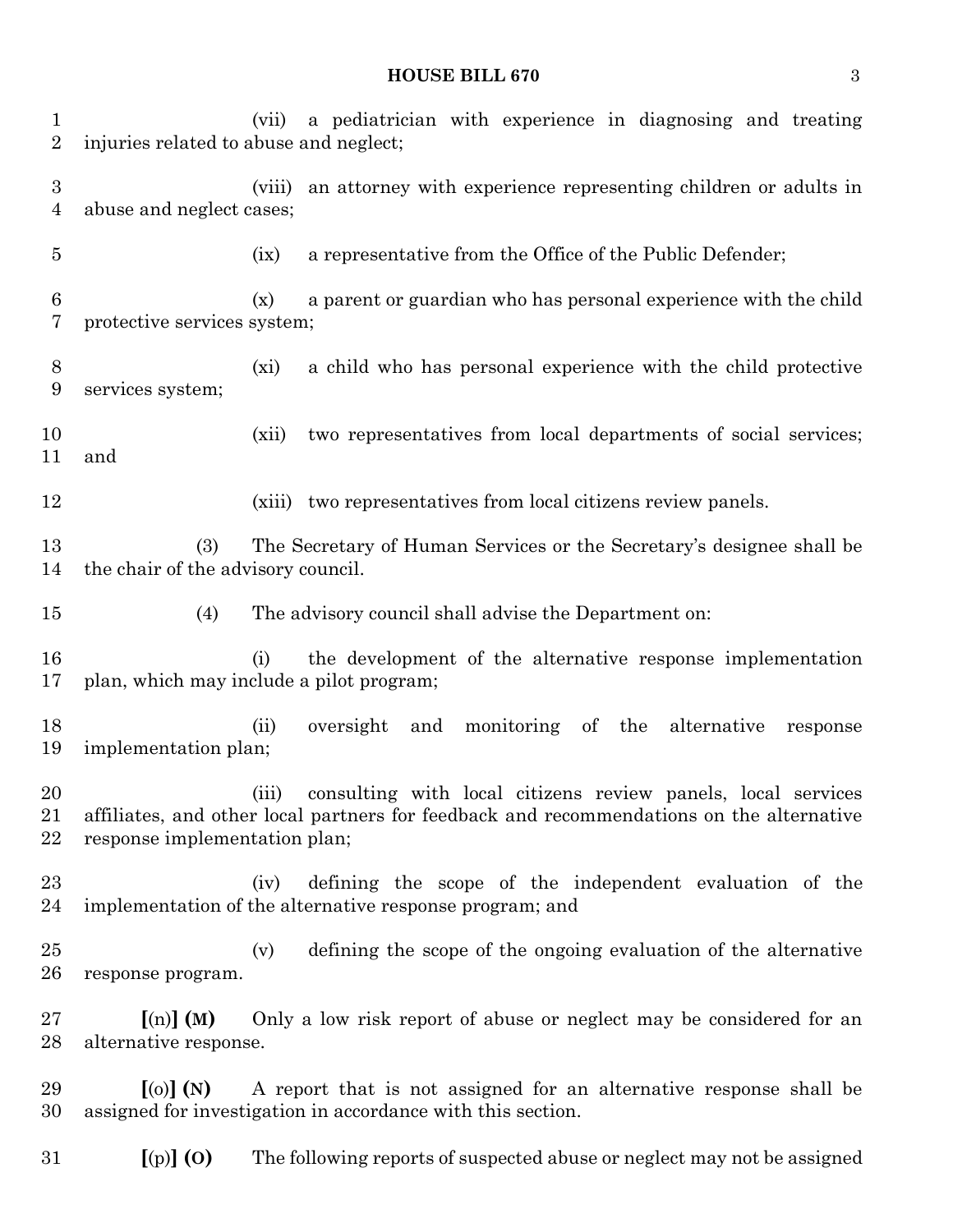#### **HOUSE BILL 670** 3

 (vii) a pediatrician with experience in diagnosing and treating injuries related to abuse and neglect; (viii) an attorney with experience representing children or adults in abuse and neglect cases; (ix) a representative from the Office of the Public Defender; (x) a parent or guardian who has personal experience with the child protective services system; (xi) a child who has personal experience with the child protective services system; (xii) two representatives from local departments of social services; and (xiii) two representatives from local citizens review panels. (3) The Secretary of Human Services or the Secretary's designee shall be the chair of the advisory council. (4) The advisory council shall advise the Department on: (i) the development of the alternative response implementation plan, which may include a pilot program; (ii) oversight and monitoring of the alternative response implementation plan; (iii) consulting with local citizens review panels, local services affiliates, and other local partners for feedback and recommendations on the alternative response implementation plan; (iv) defining the scope of the independent evaluation of the implementation of the alternative response program; and (v) defining the scope of the ongoing evaluation of the alternative response program. **[**(n)**] (M)** Only a low risk report of abuse or neglect may be considered for an alternative response. **[**(o)**] (N)** A report that is not assigned for an alternative response shall be assigned for investigation in accordance with this section. **[**(p)**] (O)** The following reports of suspected abuse or neglect may not be assigned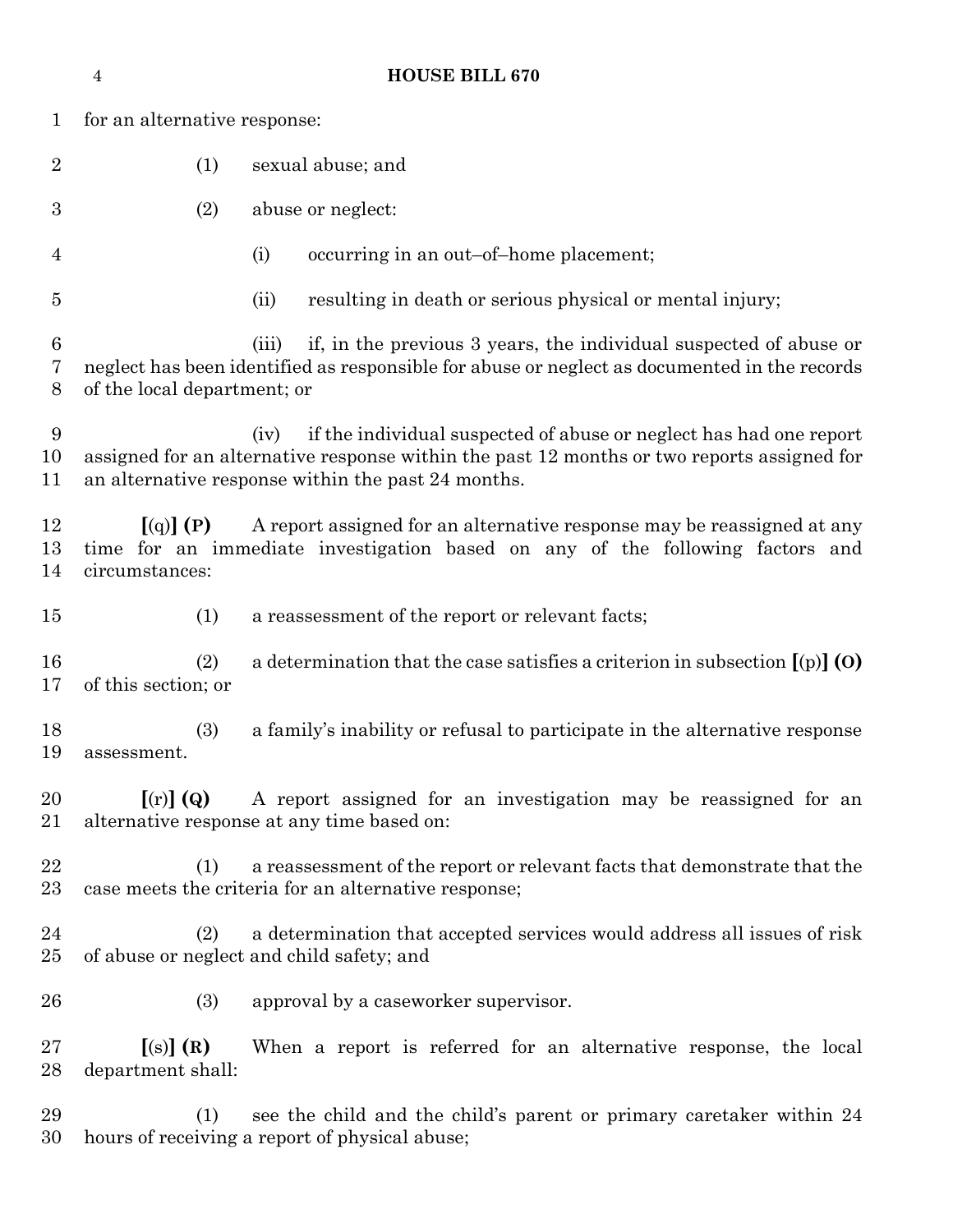|                   | <b>HOUSE BILL 670</b><br>$\overline{4}$                                                                                                                                                                                        |                                                                                                                                                                            |  |  |  |
|-------------------|--------------------------------------------------------------------------------------------------------------------------------------------------------------------------------------------------------------------------------|----------------------------------------------------------------------------------------------------------------------------------------------------------------------------|--|--|--|
| $\mathbf{1}$      | for an alternative response:                                                                                                                                                                                                   |                                                                                                                                                                            |  |  |  |
| $\overline{2}$    | (1)                                                                                                                                                                                                                            | sexual abuse; and                                                                                                                                                          |  |  |  |
| 3                 | (2)                                                                                                                                                                                                                            | abuse or neglect:                                                                                                                                                          |  |  |  |
| 4                 |                                                                                                                                                                                                                                | (i)<br>occurring in an out-of-home placement;                                                                                                                              |  |  |  |
| $\overline{5}$    |                                                                                                                                                                                                                                | resulting in death or serious physical or mental injury;<br>(ii)                                                                                                           |  |  |  |
| 6<br>7<br>8       | of the local department; or                                                                                                                                                                                                    | if, in the previous 3 years, the individual suspected of abuse or<br>(iii)<br>neglect has been identified as responsible for abuse or neglect as documented in the records |  |  |  |
| $9\,$<br>10<br>11 | if the individual suspected of abuse or neglect has had one report<br>(iv)<br>assigned for an alternative response within the past 12 months or two reports assigned for<br>an alternative response within the past 24 months. |                                                                                                                                                                            |  |  |  |
| 12<br>13<br>14    | [(q)] (P)<br>A report assigned for an alternative response may be reassigned at any<br>time for an immediate investigation based on any of the following factors and<br>circumstances:                                         |                                                                                                                                                                            |  |  |  |
| 15                | (1)                                                                                                                                                                                                                            | a reassessment of the report or relevant facts;                                                                                                                            |  |  |  |
| 16<br>17          | (2)<br>of this section; or                                                                                                                                                                                                     | a determination that the case satisfies a criterion in subsection $[(p)]$ (O)                                                                                              |  |  |  |
| 18<br>19          | (3)<br>assessment.                                                                                                                                                                                                             | a family's inability or refusal to participate in the alternative response                                                                                                 |  |  |  |
| 20<br>21          | A report assigned for an investigation may be reassigned for an<br>$\left[ \text{(r)} \right]$ (Q)<br>alternative response at any time based on:                                                                               |                                                                                                                                                                            |  |  |  |
| 22<br>23          | (1)                                                                                                                                                                                                                            | a reassessment of the report or relevant facts that demonstrate that the<br>case meets the criteria for an alternative response;                                           |  |  |  |
| 24<br>$25\,$      | (2)                                                                                                                                                                                                                            | a determination that accepted services would address all issues of risk<br>of abuse or neglect and child safety; and                                                       |  |  |  |
| 26                | (3)                                                                                                                                                                                                                            | approval by a caseworker supervisor.                                                                                                                                       |  |  |  |
| $27\,$<br>28      | [(s)](R)<br>department shall:                                                                                                                                                                                                  | When a report is referred for an alternative response, the local                                                                                                           |  |  |  |
| 29                | (1)                                                                                                                                                                                                                            | see the child and the child's parent or primary caretaker within 24                                                                                                        |  |  |  |

hours of receiving a report of physical abuse;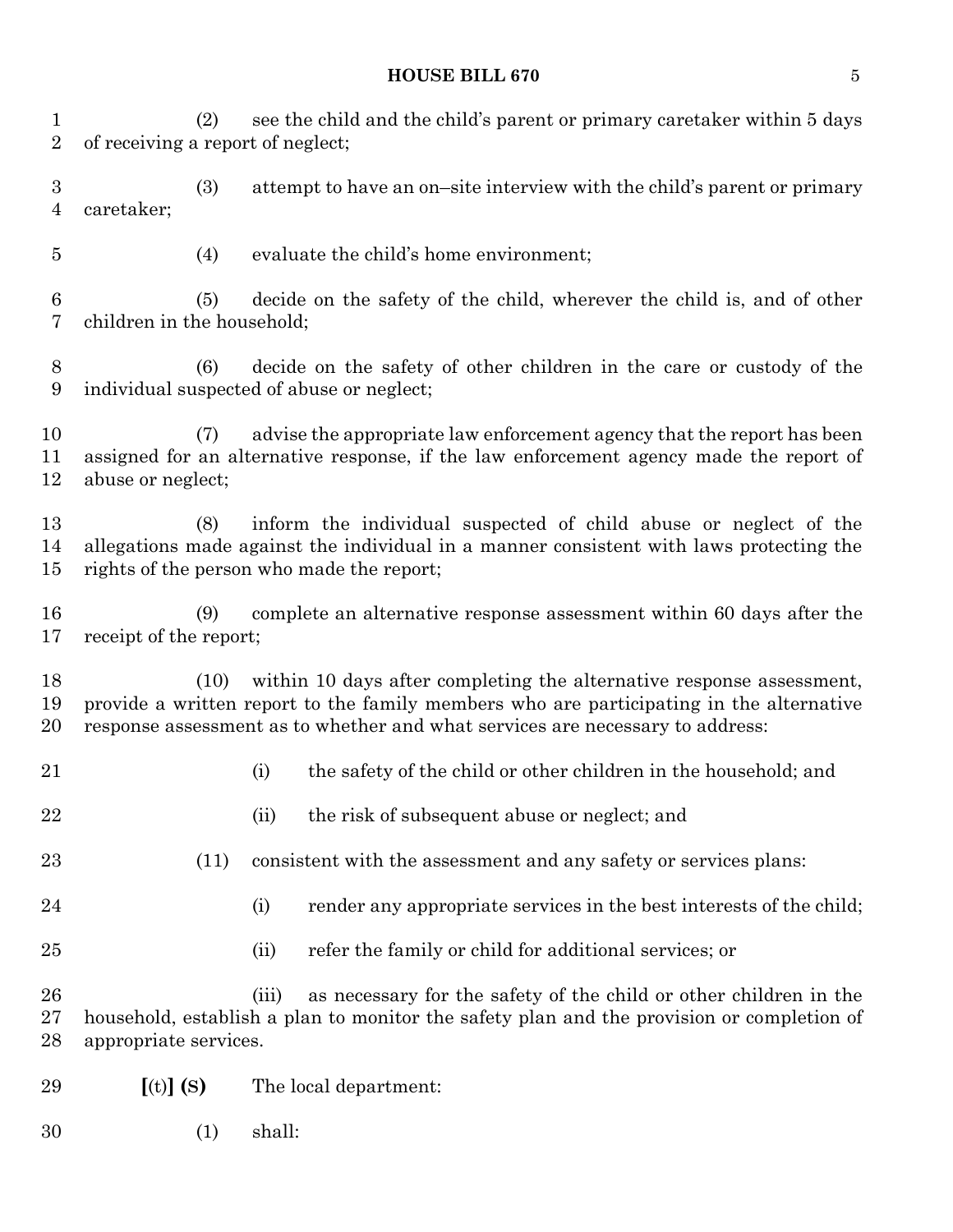### **HOUSE BILL 670** 5

 (2) see the child and the child's parent or primary caretaker within 5 days of receiving a report of neglect; (3) attempt to have an on–site interview with the child's parent or primary caretaker; (4) evaluate the child's home environment; (5) decide on the safety of the child, wherever the child is, and of other children in the household; (6) decide on the safety of other children in the care or custody of the individual suspected of abuse or neglect; (7) advise the appropriate law enforcement agency that the report has been assigned for an alternative response, if the law enforcement agency made the report of abuse or neglect; (8) inform the individual suspected of child abuse or neglect of the allegations made against the individual in a manner consistent with laws protecting the rights of the person who made the report; (9) complete an alternative response assessment within 60 days after the receipt of the report; (10) within 10 days after completing the alternative response assessment, provide a written report to the family members who are participating in the alternative response assessment as to whether and what services are necessary to address: (i) the safety of the child or other children in the household; and 22 (ii) the risk of subsequent abuse or neglect; and (11) consistent with the assessment and any safety or services plans: 24 (i) render any appropriate services in the best interests of the child; 25 (ii) refer the family or child for additional services; or (iii) as necessary for the safety of the child or other children in the household, establish a plan to monitor the safety plan and the provision or completion of appropriate services. **[**(t)**] (S)** The local department: (1) shall: